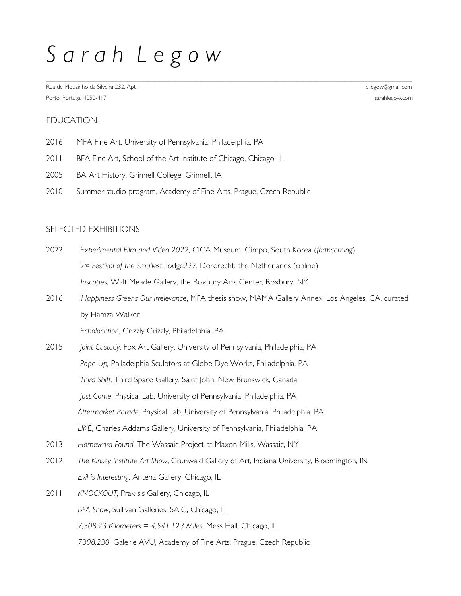# *S a r a h L e g o w*

\_\_\_\_\_\_\_\_\_\_\_\_\_\_\_\_\_\_\_\_\_\_\_\_\_\_\_\_\_\_\_\_\_\_\_\_\_\_\_\_\_\_\_\_\_\_\_\_\_\_\_\_\_\_ Rua de Mouzinho da Silveira 232, Apt. I state and the state of the state of the state of the state of the state of the state of the state of the state of the state of the state of the state of the state of the state of the Porto, Portugal 4050-417 sarahlegow.com

# EDUCATION

- 2016 MFA Fine Art, University of Pennsylvania, Philadelphia, PA
- 2011 BFA Fine Art, School of the Art Institute of Chicago, Chicago, IL
- 2005 BA Art History, Grinnell College, Grinnell, IA
- 2010 Summer studio program, Academy of Fine Arts, Prague, Czech Republic

## SELECTED EXHIBITIONS

- 2022 *Experimental Film and Video 2022*, CICA Museum, Gimpo, South Korea (*forthcoming*) 2nd *Festival of the Smallest*, lodge222, Dordrecht, the Netherlands (online) *Inscapes*, Walt Meade Gallery, the Roxbury Arts Center, Roxbury, NY
- 2016 *Happiness Greens Our Irrelevance*, MFA thesis show, MAMA Gallery Annex, Los Angeles, CA, curated by Hamza Walker

*Echolocation*, Grizzly Grizzly, Philadelphia, PA

- 2015 *Joint Custody*, Fox Art Gallery, University of Pennsylvania, Philadelphia, PA Pope Up, Philadelphia Sculptors at Globe Dye Works, Philadelphia, PA  *Third Shift,* Third Space Gallery, Saint John, New Brunswick, Canada  *Just Come*, Physical Lab, University of Pennsylvania, Philadelphia, PA  *Aftermarket Parade,* Physical Lab, University of Pennsylvania, Philadelphia, PA  *LIKE*, Charles Addams Gallery, University of Pennsylvania, Philadelphia, PA
- 2013 *Homeward Found*, The Wassaic Project at Maxon Mills, Wassaic, NY
- 2012 *The Kinsey Institute Art Show*, Grunwald Gallery of Art, Indiana University, Bloomington, IN *Evil is Interesting*, Antena Gallery, Chicago, IL
- 2011 *KNOCKOUT,* Prak-sis Gallery, Chicago, IL  *BFA Show*, Sullivan Galleries, SAIC, Chicago, IL  *7,308.23 Kilometers = 4,541.123 Miles*, Mess Hall, Chicago, IL  *7308.230*, Galerie AVU, Academy of Fine Arts, Prague, Czech Republic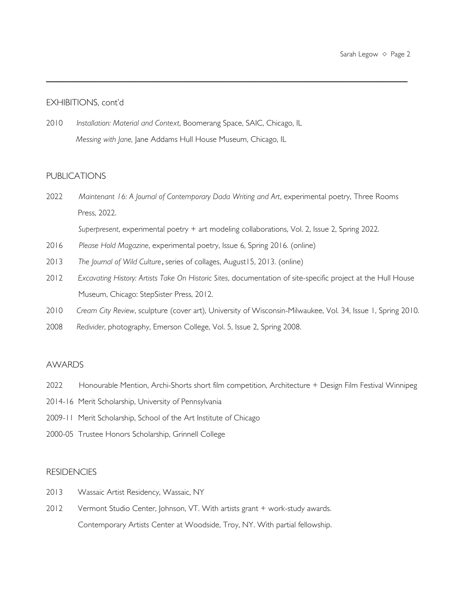## EXHIBITIONS, cont'd

2010 *Installation: Material and Context*, Boomerang Space, SAIC, Chicago, IL  *Messing with Jane,* Jane Addams Hull House Museum, Chicago, IL

## **PUBLICATIONS**

2022 *Maintenant 16: A Journal of Contemporary Dada Writing and Art*, experimental poetry, Three Rooms Press, 2022.

 $\overline{\phantom{a}}$  , and the contract of the contract of the contract of the contract of the contract of the contract of the contract of the contract of the contract of the contract of the contract of the contract of the contrac

*Superpresent*, experimental poetry + art modeling collaborations, Vol. 2, Issue 2, Spring 2022.

- 2016 *Please Hold Magazine*, experimental poetry, Issue 6, Spring 2016. (online)
- 2013*The Journal of Wild Culture*, series of collages, August15, 2013. (online)
- 2012 *Excavating History: Artists Take On Historic Sites*, documentation of site-specific project at the Hull House Museum, Chicago: StepSister Press, 2012.
- 2010 *Cream City Review*, sculpture (cover art), University of Wisconsin-Milwaukee, Vol. 34, Issue 1, Spring 2010.
- 2008 *Redivider*, photography, Emerson College, Vol. 5, Issue 2, Spring 2008.

### AWARDS

- 2022 Honourable Mention, Archi-Shorts short film competition, Architecture + Design Film Festival Winnipeg
- 2014-16 Merit Scholarship, University of Pennsylvania
- 2009-11 Merit Scholarship, School of the Art Institute of Chicago
- 2000-05 Trustee Honors Scholarship, Grinnell College

## **RESIDENCIES**

- 2013 Wassaic Artist Residency, Wassaic, NY
- 2012 Vermont Studio Center, Johnson, VT. With artists grant + work-study awards. Contemporary Artists Center at Woodside, Troy, NY. With partial fellowship.